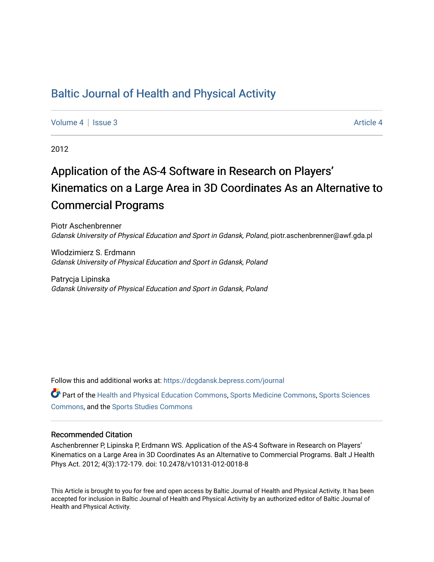# [Baltic Journal of Health and Physical Activity](https://dcgdansk.bepress.com/journal)

[Volume 4](https://dcgdansk.bepress.com/journal/vol4) | [Issue 3](https://dcgdansk.bepress.com/journal/vol4/iss3) Article 4

2012

# Application of the AS-4 Software in Research on Players' Kinematics on a Large Area in 3D Coordinates As an Alternative to Commercial Programs

Piotr Aschenbrenner Gdansk University of Physical Education and Sport in Gdansk, Poland, piotr.aschenbrenner@awf.gda.pl

Wlodzimierz S. Erdmann Gdansk University of Physical Education and Sport in Gdansk, Poland

Patrycja Lipinska Gdansk University of Physical Education and Sport in Gdansk, Poland

Follow this and additional works at: [https://dcgdansk.bepress.com/journal](https://dcgdansk.bepress.com/journal?utm_source=dcgdansk.bepress.com%2Fjournal%2Fvol4%2Fiss3%2F4&utm_medium=PDF&utm_campaign=PDFCoverPages)

Part of the [Health and Physical Education Commons](http://network.bepress.com/hgg/discipline/1327?utm_source=dcgdansk.bepress.com%2Fjournal%2Fvol4%2Fiss3%2F4&utm_medium=PDF&utm_campaign=PDFCoverPages), [Sports Medicine Commons,](http://network.bepress.com/hgg/discipline/1331?utm_source=dcgdansk.bepress.com%2Fjournal%2Fvol4%2Fiss3%2F4&utm_medium=PDF&utm_campaign=PDFCoverPages) [Sports Sciences](http://network.bepress.com/hgg/discipline/759?utm_source=dcgdansk.bepress.com%2Fjournal%2Fvol4%2Fiss3%2F4&utm_medium=PDF&utm_campaign=PDFCoverPages) [Commons](http://network.bepress.com/hgg/discipline/759?utm_source=dcgdansk.bepress.com%2Fjournal%2Fvol4%2Fiss3%2F4&utm_medium=PDF&utm_campaign=PDFCoverPages), and the [Sports Studies Commons](http://network.bepress.com/hgg/discipline/1198?utm_source=dcgdansk.bepress.com%2Fjournal%2Fvol4%2Fiss3%2F4&utm_medium=PDF&utm_campaign=PDFCoverPages) 

#### Recommended Citation

Aschenbrenner P, Lipinska P, Erdmann WS. Application of the AS-4 Software in Research on Players' Kinematics on a Large Area in 3D Coordinates As an Alternative to Commercial Programs. Balt J Health Phys Act. 2012; 4(3):172-179. doi: 10.2478/v10131-012-0018-8

This Article is brought to you for free and open access by Baltic Journal of Health and Physical Activity. It has been accepted for inclusion in Baltic Journal of Health and Physical Activity by an authorized editor of Baltic Journal of Health and Physical Activity.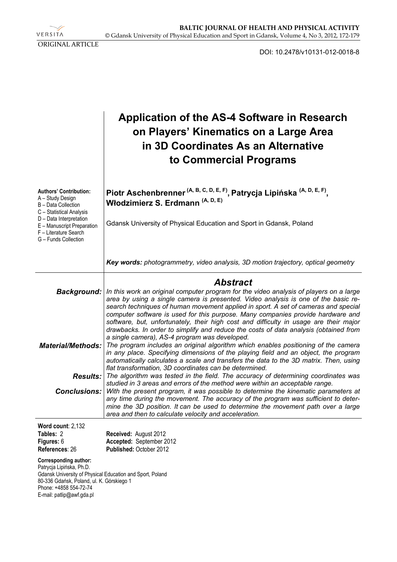VERSITA ORIGINAL ARTICLE

DOI: 10.2478/v10131-012-0018-8

|                                                                                                                                                                                                                    | <b>Application of the AS-4 Software in Research</b><br>on Players' Kinematics on a Large Area<br>in 3D Coordinates As an Alternative<br>to Commercial Programs                                                                                                                                                                                                                                                                                                                                                                         |  |  |  |  |  |  |  |  |  |
|--------------------------------------------------------------------------------------------------------------------------------------------------------------------------------------------------------------------|----------------------------------------------------------------------------------------------------------------------------------------------------------------------------------------------------------------------------------------------------------------------------------------------------------------------------------------------------------------------------------------------------------------------------------------------------------------------------------------------------------------------------------------|--|--|--|--|--|--|--|--|--|
| <b>Authors' Contribution:</b><br>A - Study Design<br>B - Data Collection<br>C - Statistical Analysis                                                                                                               | Piotr Aschenbrenner (A, B, C, D, E, F), Patrycja Lipińska (A, D, E, F),<br>Włodzimierz S. Erdmann <sup>(A, D, E)</sup>                                                                                                                                                                                                                                                                                                                                                                                                                 |  |  |  |  |  |  |  |  |  |
| D - Data Interpretation<br>E - Manuscript Preparation<br>F - Literature Search<br>G - Funds Collection                                                                                                             | Gdansk University of Physical Education and Sport in Gdansk, Poland                                                                                                                                                                                                                                                                                                                                                                                                                                                                    |  |  |  |  |  |  |  |  |  |
|                                                                                                                                                                                                                    | Key words: photogrammetry, video analysis, 3D motion trajectory, optical geometry                                                                                                                                                                                                                                                                                                                                                                                                                                                      |  |  |  |  |  |  |  |  |  |
|                                                                                                                                                                                                                    | <b>Abstract</b>                                                                                                                                                                                                                                                                                                                                                                                                                                                                                                                        |  |  |  |  |  |  |  |  |  |
| <b>Background:</b>                                                                                                                                                                                                 | In this work an original computer program for the video analysis of players on a large<br>area by using a single camera is presented. Video analysis is one of the basic re-<br>search techniques of human movement applied in sport. A set of cameras and special<br>computer software is used for this purpose. Many companies provide hardware and<br>software, but, unfortunately, their high cost and difficulty in usage are their major<br>drawbacks. In order to simplify and reduce the costs of data analysis (obtained from |  |  |  |  |  |  |  |  |  |
| <b>Material/Methods:</b>                                                                                                                                                                                           | a single camera), AS-4 program was developed.<br>The program includes an original algorithm which enables positioning of the camera<br>in any place. Specifying dimensions of the playing field and an object, the program<br>automatically calculates a scale and transfers the data to the 3D matrix. Then, using<br>flat transformation, 3D coordinates can be determined.                                                                                                                                                          |  |  |  |  |  |  |  |  |  |
|                                                                                                                                                                                                                    | <b>Results:</b> The algorithm was tested in the field. The accuracy of determining coordinates was                                                                                                                                                                                                                                                                                                                                                                                                                                     |  |  |  |  |  |  |  |  |  |
|                                                                                                                                                                                                                    | studied in 3 areas and errors of the method were within an acceptable range.<br><b>Conclusions:</b> With the present program, it was possible to determine the kinematic parameters at<br>any time during the movement. The accuracy of the program was sufficient to deter-<br>mine the 3D position. It can be used to determine the movement path over a large<br>area and then to calculate velocity and acceleration.                                                                                                              |  |  |  |  |  |  |  |  |  |
| Word count: 2,132                                                                                                                                                                                                  |                                                                                                                                                                                                                                                                                                                                                                                                                                                                                                                                        |  |  |  |  |  |  |  |  |  |
| Tables: 2<br>Figures: 6<br>References: 26                                                                                                                                                                          | Received: August 2012<br>Accepted: September 2012<br>Published: October 2012                                                                                                                                                                                                                                                                                                                                                                                                                                                           |  |  |  |  |  |  |  |  |  |
| Corresponding author:<br>Patrycja Lipińska, Ph.D.<br>Gdansk University of Physical Education and Sport, Poland<br>80-336 Gdańsk, Poland, ul. K. Górskiego 1<br>Phone: +4858 554-72-74<br>E-mail: patlip@awf.gda.pl |                                                                                                                                                                                                                                                                                                                                                                                                                                                                                                                                        |  |  |  |  |  |  |  |  |  |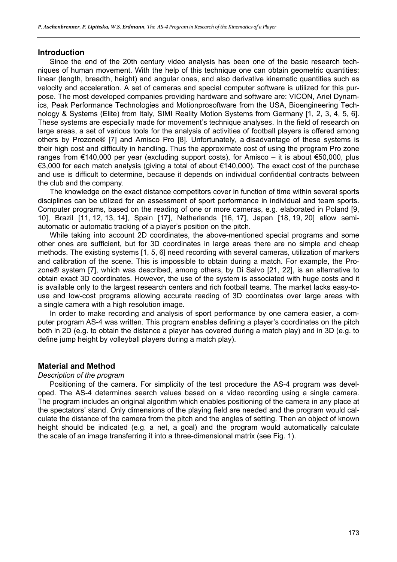### **Introduction**

Since the end of the 20th century video analysis has been one of the basic research techniques of human movement. With the help of this technique one can obtain geometric quantities: linear (length, breadth, height) and angular ones, and also derivative kinematic quantities such as velocity and acceleration. A set of cameras and special computer software is utilized for this purpose. The most developed companies providing hardware and software are: VICON, Ariel Dynamics, Peak Performance Technologies and Motionprosoftware from the USA, Bioengineering Technology & Systems (Elite) from Italy, SIMI Reality Motion Systems from Germany [1, 2, 3, 4, 5, 6]. These systems are especially made for movement's technique analyses. In the field of research on large areas, a set of various tools for the analysis of activities of football players is offered among others by Prozone® [7] and Amisco Pro [8]. Unfortunately, a disadvantage of these systems is their high cost and difficulty in handling. Thus the approximate cost of using the program Pro zone ranges from €140,000 per year (excluding support costs), for Amisco – it is about €50,000, plus €3,000 for each match analysis (giving a total of about €140,000). The exact cost of the purchase and use is difficult to determine, because it depends on individual confidential contracts between the club and the company.

The knowledge on the exact distance competitors cover in function of time within several sports disciplines can be utilized for an assessment of sport performance in individual and team sports. Computer programs, based on the reading of one or more cameras, e.g. elaborated in Poland [9, 10], Brazil [11, 12, 13, 14], Spain [17], Netherlands [16, 17], Japan [18, 19, 20] allow semiautomatic or automatic tracking of a player's position on the pitch.

While taking into account 2D coordinates, the above-mentioned special programs and some other ones are sufficient, but for 3D coordinates in large areas there are no simple and cheap methods. The existing systems [1, 5, 6] need recording with several cameras, utilization of markers and calibration of the scene. This is impossible to obtain during a match. For example, the Prozone® system [7], which was described, among others, by Di Salvo [21, 22], is an alternative to obtain exact 3D coordinates. However, the use of the system is associated with huge costs and it is available only to the largest research centers and rich football teams. The market lacks easy-touse and low-cost programs allowing accurate reading of 3D coordinates over large areas with a single camera with a high resolution image.

In order to make recording and analysis of sport performance by one camera easier, a computer program AS-4 was written. This program enables defining a player's coordinates on the pitch both in 2D (e.g. to obtain the distance a player has covered during a match play) and in 3D (e.g. to define jump height by volleyball players during a match play).

# **Material and Method**

# *Description of the program*

Positioning of the camera. For simplicity of the test procedure the AS-4 program was developed. The AS-4 determines search values based on a video recording using a single camera. The program includes an original algorithm which enables positioning of the camera in any place at the spectators' stand. Only dimensions of the playing field are needed and the program would calculate the distance of the camera from the pitch and the angles of setting. Then an object of known height should be indicated (e.g. a net, a goal) and the program would automatically calculate the scale of an image transferring it into a three-dimensional matrix (see Fig. 1).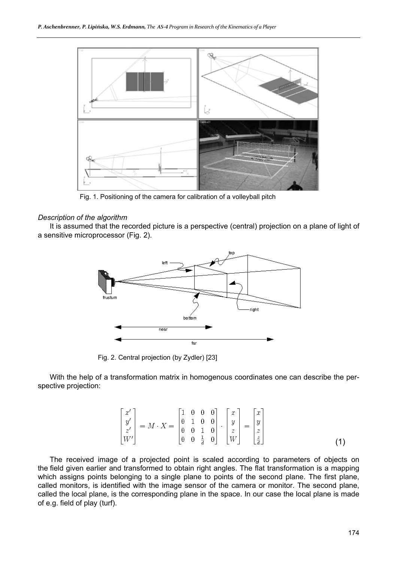

Fig. 1. Positioning of the camera for calibration of a volleyball pitch

#### *Description of the algorithm*

It is assumed that the recorded picture is a perspective (central) projection on a plane of light of a sensitive microprocessor (Fig. 2).



Fig. 2. Central projection (by Zydler) [23]

With the help of a transformation matrix in homogenous coordinates one can describe the perspective projection:

$$
\begin{bmatrix} x' \\ y' \\ z' \\ W' \end{bmatrix} = M \cdot X = \begin{bmatrix} 1 & 0 & 0 & 0 \\ 0 & 1 & 0 & 0 \\ 0 & 0 & 1 & 0 \\ 0 & 0 & \frac{1}{d} & 0 \end{bmatrix} \cdot \begin{bmatrix} x \\ y \\ z \\ W \end{bmatrix} = \begin{bmatrix} x \\ y \\ z \\ \frac{z}{d} \end{bmatrix}
$$
 (1)

The received image of a projected point is scaled according to parameters of objects on the field given earlier and transformed to obtain right angles. The flat transformation is a mapping which assigns points belonging to a single plane to points of the second plane. The first plane, called monitors, is identified with the image sensor of the camera or monitor. The second plane, called the local plane, is the corresponding plane in the space. In our case the local plane is made of e.g. field of play (turf).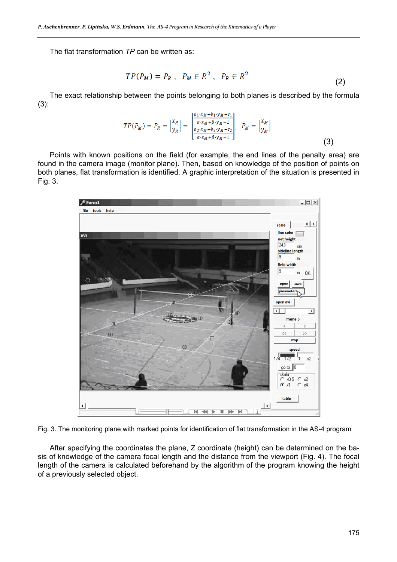The flat transformation *TP* can be written as:

$$
TP(P_M) = P_R , \quad P_M \in R^2 , \quad P_R \in R^2
$$
 (2)

The exact relationship between the points belonging to both planes is described by the formula (3):

$$
TP(P_M) = P_R = \begin{bmatrix} x_R \\ y_R \end{bmatrix} = \begin{bmatrix} \frac{a_1 \cdot x_M + b_1 \cdot y_M + c_1}{\alpha \cdot x_M + \beta \cdot y_M + 1} \\ \frac{a_2 \cdot x_M + b_2 \cdot y_M + c_2}{\alpha \cdot x_M + \beta \cdot y_M + 1} \end{bmatrix}, \quad P_M = \begin{bmatrix} x_M \\ y_M \end{bmatrix}
$$
(3)

Points with known positions on the field (for example, the end lines of the penalty area) are found in the camera image (monitor plane). Then, based on knowledge of the position of points on both planes, flat transformation is identified. A graphic interpretation of the situation is presented in Fig. 3.



Fig. 3. The monitoring plane with marked points for identification of flat transformation in the AS-4 program

After specifying the coordinates the plane, Z coordinate (height) can be determined on the basis of knowledge of the camera focal length and the distance from the viewport (Fig. 4). The focal length of the camera is calculated beforehand by the algorithm of the program knowing the height of a previously selected object.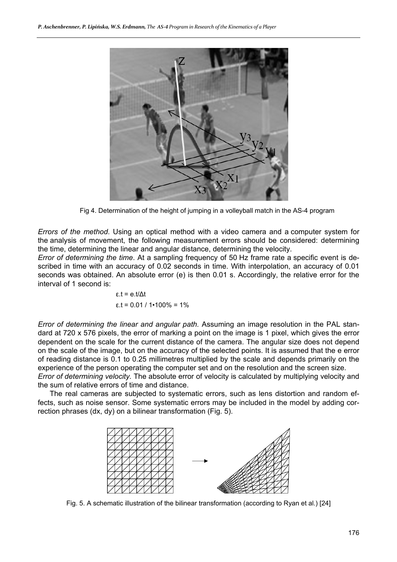

Fig 4. Determination of the height of jumping in a volleyball match in the AS-4 program

*Errors of the method*. Using an optical method with a video camera and a computer system for the analysis of movement, the following measurement errors should be considered: determining the time, determining the linear and angular distance, determining the velocity.

*Error of determining the time*. At a sampling frequency of 50 Hz frame rate a specific event is described in time with an accuracy of 0.02 seconds in time. With interpolation, an accuracy of 0.01 seconds was obtained. An absolute error (e) is then 0.01 s. Accordingly, the relative error for the interval of 1 second is:

$$
\varepsilon
$$
.t = e.t/ $\Delta t$   
 $\varepsilon$ .t = 0.01 / 1•100% = 1%

*Error of determining the linear and angular path.* Assuming an image resolution in the PAL standard at 720 x 576 pixels, the error of marking a point on the image is 1 pixel, which gives the error dependent on the scale for the current distance of the camera. The angular size does not depend on the scale of the image, but on the accuracy of the selected points. It is assumed that the e error of reading distance is 0.1 to 0.25 millimetres multiplied by the scale and depends primarily on the experience of the person operating the computer set and on the resolution and the screen size.

*Error of determining velocity.* The absolute error of velocity is calculated by multiplying velocity and the sum of relative errors of time and distance.

The real cameras are subjected to systematic errors, such as lens distortion and random effects, such as noise sensor. Some systematic errors may be included in the model by adding correction phrases (dx, dy) on a bilinear transformation (Fig. 5).



Fig. 5. A schematic illustration of the bilinear transformation (according to Ryan et al.) [24]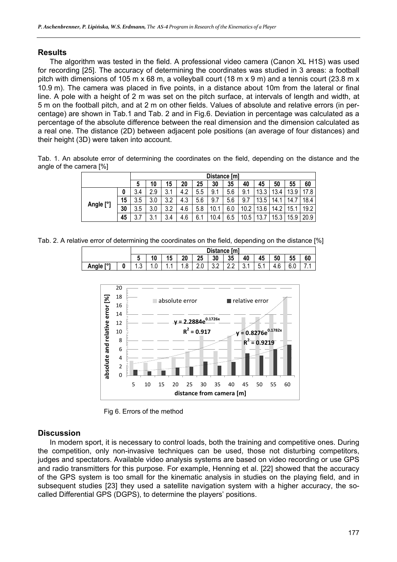# **Results**

The algorithm was tested in the field. A professional video camera (Canon XL H1S) was used for recording [25]. The accuracy of determining the coordinates was studied in 3 areas: a football pitch with dimensions of 105 m x 68 m, a volleyball court (18 m x 9 m) and a tennis court (23.8 m x 10.9 m). The camera was placed in five points, in a distance about 10m from the lateral or final line. A pole with a height of 2 m was set on the pitch surface, at intervals of length and width, at 5 m on the football pitch, and at 2 m on other fields. Values of absolute and relative errors (in percentage) are shown in Tab.1 and Tab. 2 and in Fig.6. Deviation in percentage was calculated as a percentage of the absolute difference between the real dimension and the dimension calculated as a real one. The distance (2D) between adjacent pole positions (an average of four distances) and their height (3D) were taken into account.

Tab. 1. An absolute error of determining the coordinates on the field, depending on the distance and the angle of the camera [%]

|           |    | Distance [m]  |           |                    |     |     |      |     |      |                 |              |            |      |
|-----------|----|---------------|-----------|--------------------|-----|-----|------|-----|------|-----------------|--------------|------------|------|
|           |    | ა             | ۵۱،       | 15                 | 20  | 25  | 30   | 35  | 40   | 45              | 50           | 55         | 60   |
| Angle [°] | υ  | 3.4           | C<br>ن.ء  | ົ<br>4<br>◡. ।     | 4.7 | 5.5 | 9.1  | 5.6 | 9.1  | 10<br>ົ<br>ა.ა  | 12<br>$-3.4$ | 12<br>ن. ب | 17.8 |
|           | 15 | 3.5           | 2<br>v.v  | റ<br>ົ<br>J.Z      | ن.4 | 5.6 | 9.7  | 5.6 | 9.7  | 12<br>Б,<br>ن.ن | 14.          |            | 18.4 |
|           | 30 | 3.5           | ົ<br>v.v  | ົ<br>$\sim$<br>J.Z | 4.6 | 5.8 | 10.  | 6.0 | 10.2 | 12<br>3.6       | 14.2         | 5.         | 19.2 |
|           | 45 | ⇁<br>ົ<br>J.I | ົ<br>υ. ι | $\sim$<br>3.4      | 4.6 | 6.1 | 10.4 | 6.5 | 10.5 | 10<br>، ب       | 15.3         | 15.9<br>a  | 20.9 |

Tab. 2. A relative error of determining the coordinates on the field, depending on the distance [%]

|           | Distance [m] |     |    |                        |     |     |     |          |                |          |           |    |
|-----------|--------------|-----|----|------------------------|-----|-----|-----|----------|----------------|----------|-----------|----|
|           |              | 10  | 15 | 20                     | 25  | 30  | 35  | 40       | 45             | 50       | 55        | 60 |
| Angle [°' | ົ<br>ں.ו     | 1.U | .  | $\circ$<br>$\cdot$ . O | 2.0 | v.z | L.L | ົ<br>J.I | -<br>ь<br>◡. । | Q<br>4.6 | c.<br>v.v |    |



Fig 6. Errors of the method

# **Discussion**

In modern sport, it is necessary to control loads, both the training and competitive ones. During the competition, only non-invasive techniques can be used, those not disturbing competitors, judges and spectators. Available video analysis systems are based on video recording or use GPS and radio transmitters for this purpose. For example, Henning et al. [22] showed that the accuracy of the GPS system is too small for the kinematic analysis in studies on the playing field, and in subsequent studies [23] they used a satellite navigation system with a higher accuracy, the socalled Differential GPS (DGPS), to determine the players' positions.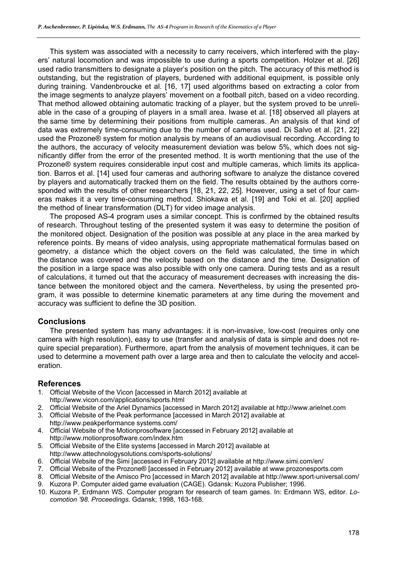This system was associated with a necessity to carry receivers, which interfered with the players' natural locomotion and was impossible to use during a sports competition. Holzer et al. [26] used radio transmitters to designate a player's position on the pitch. The accuracy of this method is outstanding, but the registration of players, burdened with additional equipment, is possible only during training. Vandenbroucke et al. [16, 17] used algorithms based on extracting a color from the image segments to analyze players' movement on a football pitch, based on a video recording. That method allowed obtaining automatic tracking of a player, but the system proved to be unreliable in the case of a grouping of players in a small area. Iwase et al. [18] observed all players at the same time by determining their positions from multiple cameras. An analysis of that kind of data was extremely time-consuming due to the number of cameras used. Di Salvo et al. [21, 22] used the Prozone® system for motion analysis by means of an audiovisual recording. According to the authors, the accuracy of velocity measurement deviation was below 5%, which does not significantly differ from the error of the presented method. It is worth mentioning that the use of the Prozone® system requires considerable input cost and multiple cameras, which limits its application. Barros et al. [14] used four cameras and authoring software to analyze the distance covered by players and automatically tracked them on the field. The results obtained by the authors corresponded with the results of other researchers [18, 21, 22, 25]. However, using a set of four cameras makes it a very time-consuming method. Shiokawa et al. [19] and Toki et al. [20] applied the method of linear transformation (DLT) for video image analysis.

The proposed AS-4 program uses a similar concept. This is confirmed by the obtained results of research. Throughout testing of the presented system it was easy to determine the position of the monitored object. Designation of the position was possible at any place in the area marked by reference points. By means of video analysis, using appropriate mathematical formulas based on geometry, a distance which the object covers on the field was calculated, the time in which the distance was covered and the velocity based on the distance and the time. Designation of the position in a large space was also possible with only one camera. During tests and as a result of calculations, it turned out that the accuracy of measurement decreases with increasing the distance between the monitored object and the camera. Nevertheless, by using the presented program, it was possible to determine kinematic parameters at any time during the movement and accuracy was sufficient to define the 3D position.

# **Conclusions**

The presented system has many advantages: it is non-invasive, low-cost (requires only one camera with high resolution), easy to use (transfer and analysis of data is simple and does not require special preparation). Furthermore, apart from the analysis of movement techniques, it can be used to determine a movement path over a large area and then to calculate the velocity and acceleration.

# **References**

- 1. Official Website of the Vicon [accessed in March 2012] available at http://www.vicon.com/applications/sports.html
- 2. Official Website of the Ariel Dynamics [accessed in March 2012] available at http://www.arielnet.com
- 3. Official Website of the Peak performance [accessed in March 2012] available at
- http://www.peakperformance systems.com/ 4. Official Website of the Motionprosoftware [accessed in February 2012] available at http://www.motionprosoftware.com/index.htm
- 5. Official Website of the Elite systems [accessed in March 2012] available at http://www.attechnologysolutions.com/sports-solutions/
- 6. Official Website of the Simi [accessed in February 2012] available at http://www.simi.com/en/
- 7. Official Website of the Prozone® [accessed in February 2012] available at www.prozonesports.com
- 8. Official Website of the Amisco Pro [accessed in March 2012] available at http://www.sport-universal.com/
- 9. Kuzora P. Computer aided game evaluation (CAGE). Gdansk: Kuzora Publisher; 1996.
- 10. Kuzora P, Erdmann WS. Computer program for research of team games. In: Erdmann WS, editor. *Locomotion '98. Proceedings.* Gdansk; 1998, 163-168.